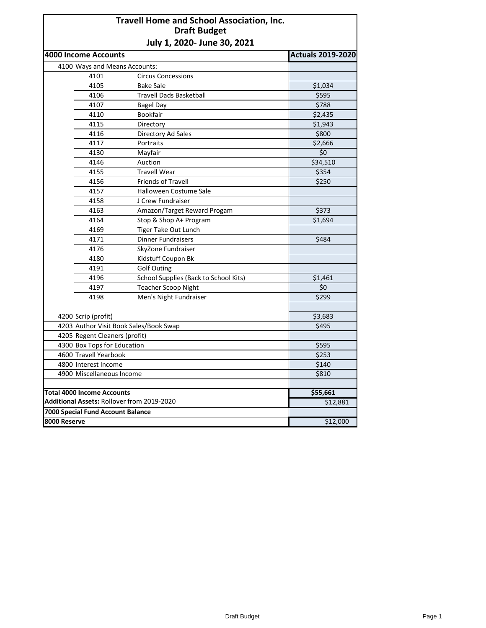## **Travell Home and School Association, Inc. Draft Budget July 1, 2020- June 30, 2021**

|                                   | 4000 Income Accounts                       |                                        | <b>Actuals 2019-2020</b> |
|-----------------------------------|--------------------------------------------|----------------------------------------|--------------------------|
|                                   | 4100 Ways and Means Accounts:              |                                        |                          |
|                                   | 4101                                       | <b>Circus Concessions</b>              |                          |
|                                   | 4105                                       | <b>Bake Sale</b>                       | \$1,034                  |
|                                   | 4106                                       | <b>Travell Dads Basketball</b>         | \$595                    |
|                                   | 4107                                       | <b>Bagel Day</b>                       | \$788                    |
|                                   | 4110                                       | Bookfair                               | \$2,435                  |
|                                   | 4115                                       | Directory                              | \$1,943                  |
|                                   | 4116                                       | Directory Ad Sales                     | \$800                    |
|                                   | 4117                                       | Portraits                              | \$2,666                  |
|                                   | 4130                                       | Mayfair                                | \$0                      |
|                                   | 4146                                       | Auction                                | \$34,510                 |
|                                   | 4155                                       | <b>Travell Wear</b>                    | \$354                    |
|                                   | 4156                                       | Friends of Travell                     | \$250                    |
|                                   | 4157                                       | Halloween Costume Sale                 |                          |
|                                   | 4158                                       | J Crew Fundraiser                      |                          |
|                                   | 4163                                       | Amazon/Target Reward Progam            | \$373                    |
|                                   | 4164                                       | Stop & Shop A+ Program                 | \$1,694                  |
|                                   | 4169                                       | Tiger Take Out Lunch                   |                          |
|                                   | 4171                                       | <b>Dinner Fundraisers</b>              | \$484                    |
|                                   | 4176                                       | SkyZone Fundraiser                     |                          |
|                                   | 4180                                       | Kidstuff Coupon Bk                     |                          |
|                                   | 4191                                       | <b>Golf Outing</b>                     |                          |
|                                   | 4196                                       | School Supplies (Back to School Kits)  | \$1,461                  |
|                                   | 4197                                       | <b>Teacher Scoop Night</b>             | \$0                      |
|                                   | 4198                                       | Men's Night Fundraiser                 | \$299                    |
|                                   |                                            |                                        |                          |
| 4200 Scrip (profit)               | \$3,683                                    |                                        |                          |
|                                   |                                            | 4203 Author Visit Book Sales/Book Swap | \$495                    |
|                                   | 4205 Regent Cleaners (profit)              |                                        |                          |
|                                   | 4300 Box Tops for Education                |                                        | \$595                    |
|                                   | 4600 Travell Yearbook                      |                                        | \$253                    |
|                                   | 4800 Interest Income                       |                                        | \$140                    |
|                                   | 4900 Miscellaneous Income                  | \$810                                  |                          |
|                                   |                                            |                                        |                          |
|                                   | <b>Total 4000 Income Accounts</b>          | \$55,661                               |                          |
|                                   | Additional Assets: Rollover from 2019-2020 | \$12,881                               |                          |
| 7000 Special Fund Account Balance |                                            |                                        |                          |
| 8000 Reserve                      |                                            |                                        | \$12,000                 |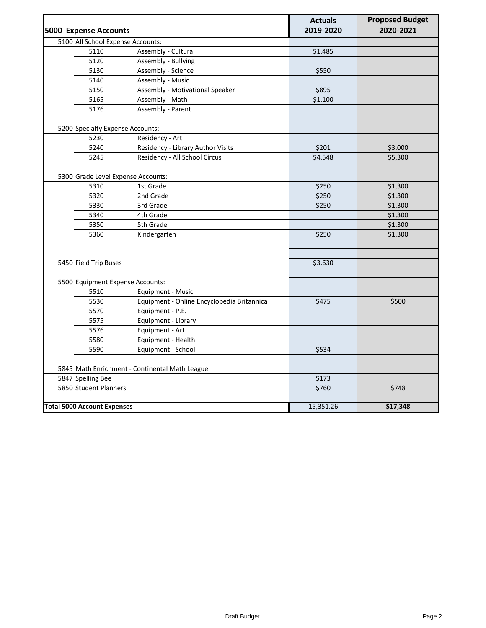|                                                |                                            | <b>Actuals</b> | <b>Proposed Budget</b> |
|------------------------------------------------|--------------------------------------------|----------------|------------------------|
| <b>5000 Expense Accounts</b>                   |                                            | 2019-2020      | 2020-2021              |
| 5100 All School Expense Accounts:              |                                            |                |                        |
| 5110                                           | Assembly - Cultural                        | \$1,485        |                        |
| 5120                                           | Assembly - Bullying                        |                |                        |
| 5130                                           | Assembly - Science                         | \$550          |                        |
| 5140                                           | Assembly - Music                           |                |                        |
| 5150                                           | Assembly - Motivational Speaker            | \$895          |                        |
| 5165                                           | Assembly - Math                            | \$1,100        |                        |
| 5176                                           | Assembly - Parent                          |                |                        |
|                                                |                                            |                |                        |
| 5200 Specialty Expense Accounts:               |                                            |                |                        |
| 5230                                           | Residency - Art                            |                |                        |
| 5240                                           | Residency - Library Author Visits          | \$201          | \$3,000                |
| 5245                                           | Residency - All School Circus              | \$4,548        | \$5,300                |
| 5300 Grade Level Expense Accounts:             |                                            |                |                        |
| 5310                                           | 1st Grade                                  | \$250          | \$1,300                |
| 5320                                           | 2nd Grade                                  | \$250          | \$1,300                |
| 5330                                           | 3rd Grade                                  | \$250          | \$1,300                |
| 5340                                           | 4th Grade                                  |                | \$1,300                |
| 5350                                           | 5th Grade                                  |                | \$1,300                |
| 5360                                           | Kindergarten                               | \$250          | \$1,300                |
|                                                |                                            |                |                        |
|                                                |                                            |                |                        |
| 5450 Field Trip Buses                          |                                            | \$3,630        |                        |
|                                                |                                            |                |                        |
| 5500 Equipment Expense Accounts:               |                                            |                |                        |
| 5510                                           | Equipment - Music                          |                |                        |
| 5530                                           | Equipment - Online Encyclopedia Britannica | \$475          | \$500                  |
| 5570                                           | Equipment - P.E.                           |                |                        |
| 5575                                           | Equipment - Library                        |                |                        |
| 5576                                           | Equipment - Art                            |                |                        |
| 5580                                           | Equipment - Health                         |                |                        |
| 5590                                           | Equipment - School                         | \$534          |                        |
|                                                |                                            |                |                        |
| 5845 Math Enrichment - Continental Math League |                                            |                |                        |
| 5847 Spelling Bee                              |                                            | \$173          |                        |
| 5850 Student Planners                          |                                            | \$760          | \$748                  |
|                                                |                                            |                |                        |
| <b>Total 5000 Account Expenses</b>             |                                            | 15,351.26      | \$17,348               |